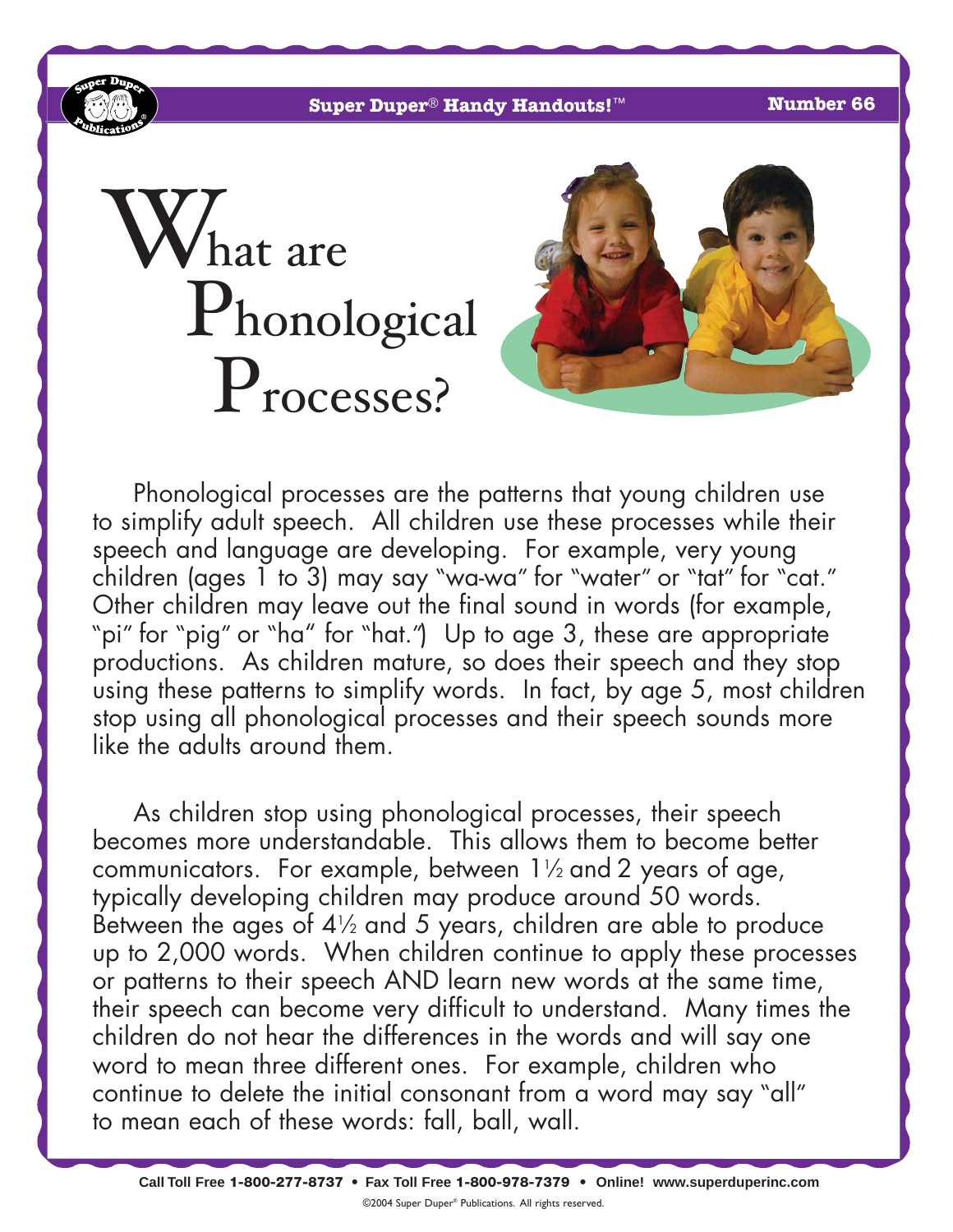**Super Duper**® **Handy Handouts!**™ **Number 66**

# hat are Phonological Processes?



Phonological processes are the patterns that young children use to simplify adult speech. All children use these processes while their speech and language are developing. For example, very young children (ages 1 to 3) may say "wa-wa" for "water" or "tat" for "cat." Other children may leave out the final sound in words (for example, "pi" for "pig" or "ha" for "hat.") Up to age 3, these are appropriate productions. As children mature, so does their speech and they stop using these patterns to simplify words. In fact, by age 5, most children stop using all phonological processes and their speech sounds more like the adults around them.

As children stop using phonological processes, their speech becomes more understandable. This allows them to become better communicators. For example, between  $1\frac{1}{2}$  and 2 years of age, typically developing children may produce around 50 words. Between the ages of  $4\frac{1}{2}$  and 5 years, children are able to produce up to 2,000 words. When children continue to apply these processes or patterns to their speech AND learn new words at the same time, their speech can become very difficult to understand. Many times the children do not hear the differences in the words and will say one word to mean three different ones. For example, children who continue to delete the initial consonant from a word may say "all" to mean each of these words: fall, ball, wall.